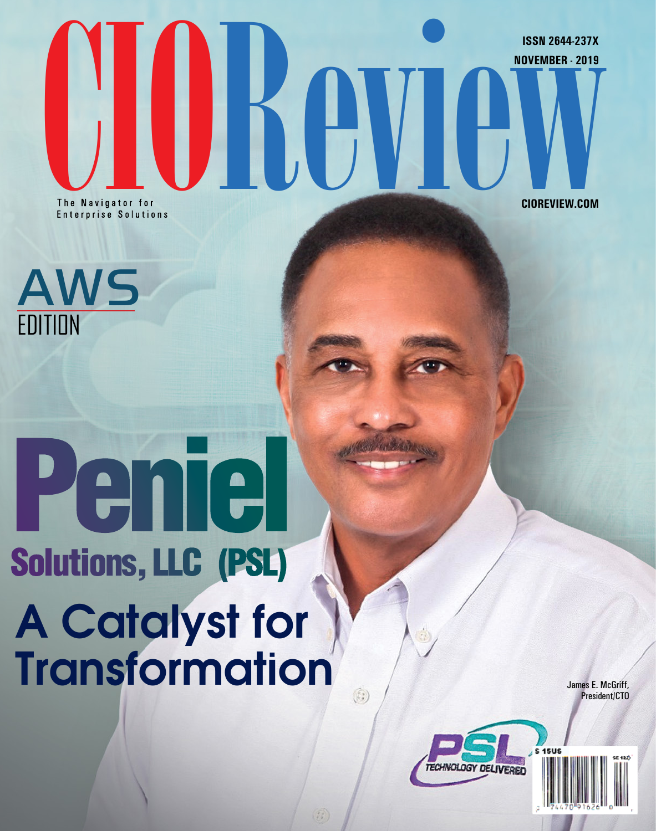The Navigator for a selections

**CIOREVIEW.COM**

**ISSN 2644-237X**



# A Catalyst for **Transformation** Peniel Solutions, LLC (PSL)

James E. McGriff, President/CTO



 $\odot$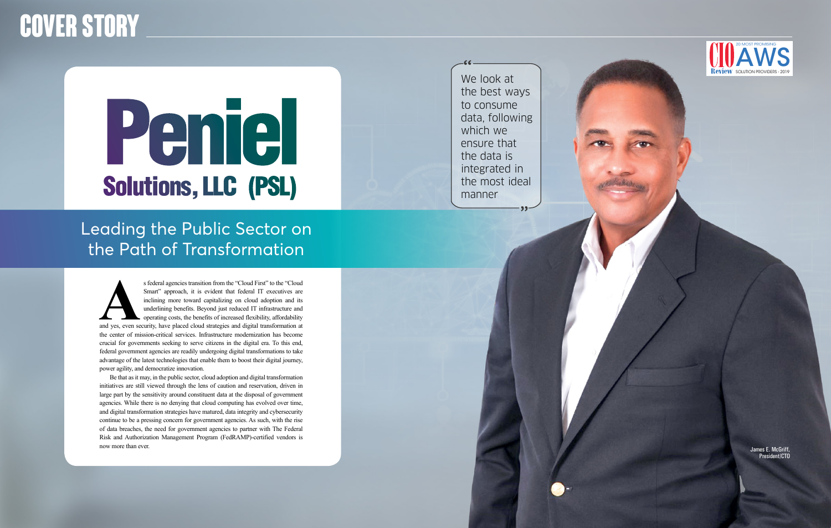# Peniel Solutions, LLC (PSL)

## Leading the Public Sector on the Path of Transformation

We look at the best ways to consume data, following which we ensure that the data is integrated in the most ideal manner

## **Cover Story**

S federal agencies transition from the "Cloud First" to the "Cloud Smart" approach, it is evident that federal IT executives are inclining more toward capitalizing on cloud adoption and its underlining benefits. Beyond jus Smart" approach, it is evident that federal IT executives are inclining more toward capitalizing on cloud adoption and its underlining benefits. Beyond just reduced IT infrastructure and operating costs, the benefits of increased flexibility, affordability the center of mission-critical services. Infrastructure modernization has become crucial for governments seeking to serve citizens in the digital era. To this end, federal government agencies are readily undergoing digital transformations to take advantage of the latest technologies that enable them to boost their digital journey, power agility, and democratize innovation.

Be that as it may, in the public sector, cloud adoption and digital transformation initiatives are still viewed through the lens of caution and reservation, driven in large part by the sensitivity around constituent data at the disposal of government agencies. While there is no denying that cloud computing has evolved over time, and digital transformation strategies have matured, data integrity and cybersecurity continue to be a pressing concern for government agencies. As such, with the rise of data breaches, the need for government agencies to partner with The Federal Risk and Authorization Management Program (FedRAMP)-certified vendors is now more than ever. James E. McGriff,

President/CTO